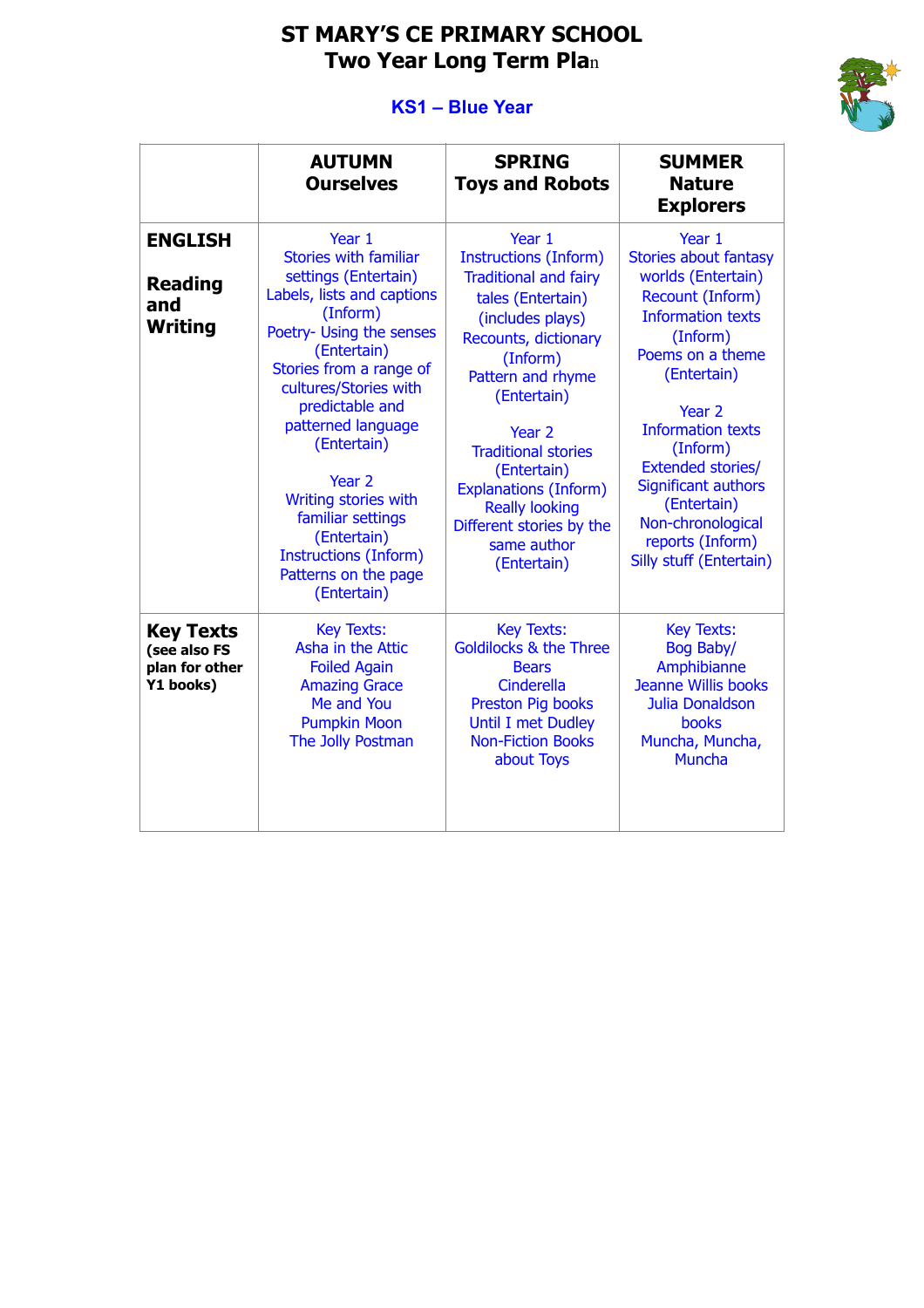## **ST MARY'S CE PRIMARY SCHOOL Two Year Long Term Pla**n

## **KS1 – Blue Year**



|                                                                 | <b>AUTUMN</b><br><b>Ourselves</b>                                                                                                                                                                                                                                                                                                                                                                                       | <b>SPRING</b><br><b>Toys and Robots</b>                                                                                                                                                                                                                                                                                                                                      | <b>SUMMER</b><br><b>Nature</b><br><b>Explorers</b>                                                                                                                                                                                                                                                                                                                    |
|-----------------------------------------------------------------|-------------------------------------------------------------------------------------------------------------------------------------------------------------------------------------------------------------------------------------------------------------------------------------------------------------------------------------------------------------------------------------------------------------------------|------------------------------------------------------------------------------------------------------------------------------------------------------------------------------------------------------------------------------------------------------------------------------------------------------------------------------------------------------------------------------|-----------------------------------------------------------------------------------------------------------------------------------------------------------------------------------------------------------------------------------------------------------------------------------------------------------------------------------------------------------------------|
| <b>ENGLISH</b><br><b>Reading</b><br>and<br><b>Writing</b>       | Year 1<br><b>Stories with familiar</b><br>settings (Entertain)<br>Labels, lists and captions<br>(Inform)<br>Poetry- Using the senses<br>(Entertain)<br>Stories from a range of<br>cultures/Stories with<br>predictable and<br>patterned language<br>(Entertain)<br>Year <sub>2</sub><br>Writing stories with<br>familiar settings<br>(Entertain)<br><b>Instructions (Inform)</b><br>Patterns on the page<br>(Entertain) | Year 1<br><b>Instructions (Inform)</b><br><b>Traditional and fairy</b><br>tales (Entertain)<br>(includes plays)<br>Recounts, dictionary<br>(Inform)<br>Pattern and rhyme<br>(Entertain)<br>Year <sub>2</sub><br><b>Traditional stories</b><br>(Entertain)<br><b>Explanations (Inform)</b><br><b>Really looking</b><br>Different stories by the<br>same author<br>(Entertain) | Year 1<br><b>Stories about fantasy</b><br>worlds (Entertain)<br>Recount (Inform)<br><b>Information texts</b><br>(Inform)<br>Poems on a theme<br>(Entertain)<br>Year <sub>2</sub><br><b>Information texts</b><br>(Inform)<br><b>Extended stories/</b><br><b>Significant authors</b><br>(Entertain)<br>Non-chronological<br>reports (Inform)<br>Silly stuff (Entertain) |
| <b>Key Texts</b><br>(see also FS<br>plan for other<br>Y1 books) | <b>Key Texts:</b><br>Asha in the Attic<br><b>Foiled Again</b><br><b>Amazing Grace</b><br>Me and You<br><b>Pumpkin Moon</b><br>The Jolly Postman                                                                                                                                                                                                                                                                         | <b>Key Texts:</b><br><b>Goldilocks &amp; the Three</b><br><b>Bears</b><br>Cinderella<br>Preston Pig books<br><b>Until I met Dudley</b><br><b>Non-Fiction Books</b><br>about Toys                                                                                                                                                                                             | <b>Key Texts:</b><br>Bog Baby/<br>Amphibianne<br><b>Jeanne Willis books</b><br>Julia Donaldson<br>books<br>Muncha, Muncha,<br><b>Muncha</b>                                                                                                                                                                                                                           |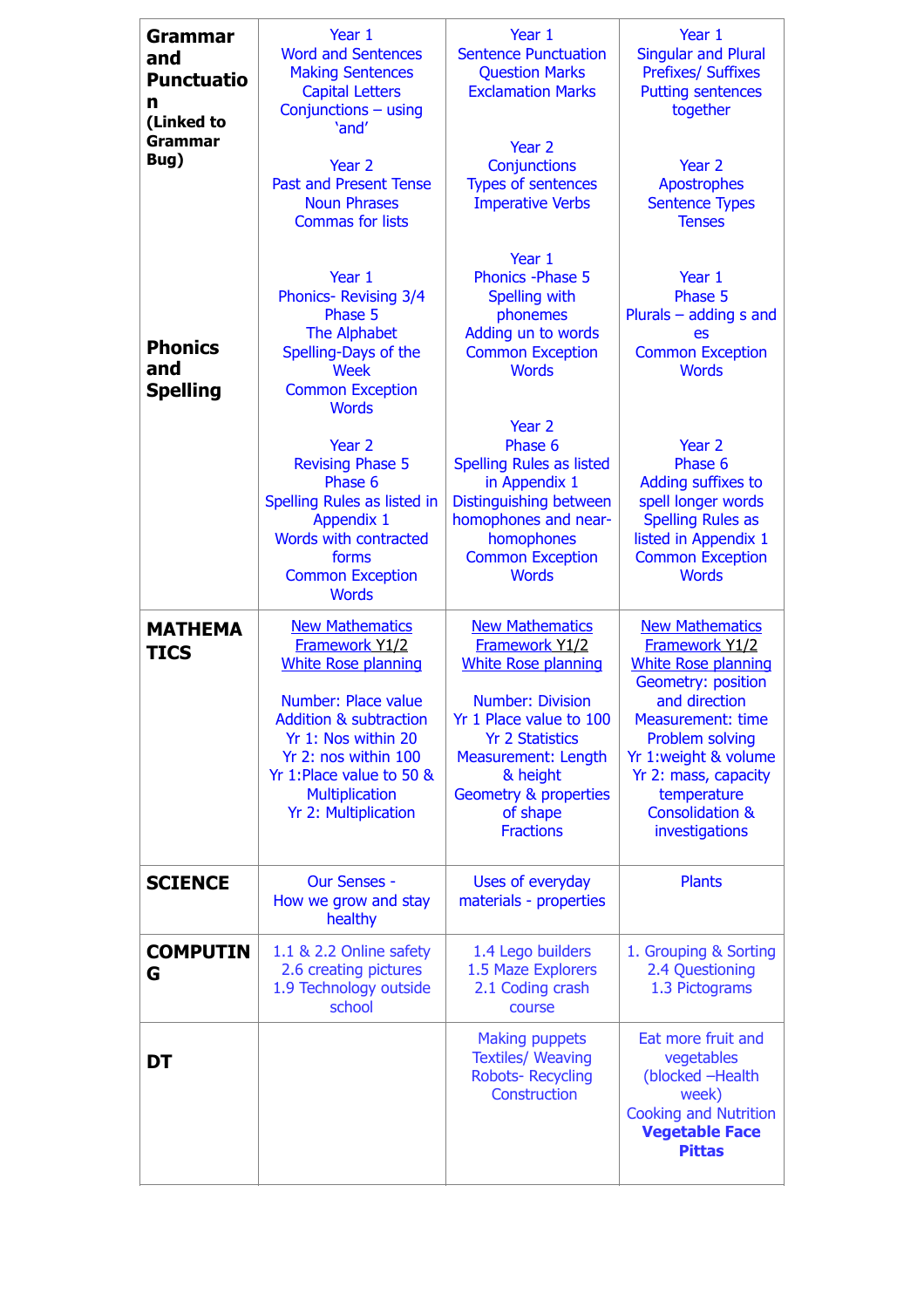| Grammar<br>and<br><b>Punctuatio</b><br>n<br>(Linked to | Year 1<br><b>Word and Sentences</b><br><b>Making Sentences</b><br><b>Capital Letters</b><br>Conjunctions - using<br>'and'                                                                                                                                      | Year 1<br><b>Sentence Punctuation</b><br><b>Question Marks</b><br><b>Exclamation Marks</b>                                                                                                                                                                    | Year 1<br><b>Singular and Plural</b><br><b>Prefixes/ Suffixes</b><br><b>Putting sentences</b><br>together                                                                                                                                                                          |
|--------------------------------------------------------|----------------------------------------------------------------------------------------------------------------------------------------------------------------------------------------------------------------------------------------------------------------|---------------------------------------------------------------------------------------------------------------------------------------------------------------------------------------------------------------------------------------------------------------|------------------------------------------------------------------------------------------------------------------------------------------------------------------------------------------------------------------------------------------------------------------------------------|
| <b>Grammar</b><br>Bug)                                 | Year <sub>2</sub><br><b>Past and Present Tense</b><br><b>Noun Phrases</b><br><b>Commas for lists</b>                                                                                                                                                           | Year 2<br>Conjunctions<br><b>Types of sentences</b><br><b>Imperative Verbs</b>                                                                                                                                                                                | Year 2<br><b>Apostrophes</b><br><b>Sentence Types</b><br><b>Tenses</b>                                                                                                                                                                                                             |
| <b>Phonics</b><br>and<br><b>Spelling</b>               | Year 1<br>Phonics-Revising 3/4<br>Phase 5<br>The Alphabet<br>Spelling-Days of the<br>Week<br><b>Common Exception</b><br><b>Words</b>                                                                                                                           | Year 1<br><b>Phonics - Phase 5</b><br>Spelling with<br>phonemes<br>Adding un to words<br><b>Common Exception</b><br><b>Words</b>                                                                                                                              | Year 1<br>Phase 5<br>Plurals $-$ adding s and<br>es<br><b>Common Exception</b><br><b>Words</b>                                                                                                                                                                                     |
|                                                        | Year 2<br><b>Revising Phase 5</b><br>Phase 6<br>Spelling Rules as listed in<br><b>Appendix 1</b><br>Words with contracted<br>forms<br><b>Common Exception</b><br><b>Words</b>                                                                                  | Year 2<br>Phase 6<br><b>Spelling Rules as listed</b><br>in Appendix 1<br>Distinguishing between<br>homophones and near-<br>homophones<br><b>Common Exception</b><br><b>Words</b>                                                                              | Year <sub>2</sub><br>Phase 6<br>Adding suffixes to<br>spell longer words<br><b>Spelling Rules as</b><br>listed in Appendix 1<br><b>Common Exception</b><br><b>Words</b>                                                                                                            |
| <b>MATHEMA</b><br><b>TICS</b>                          | <b>New Mathematics</b><br>Framework Y1/2<br><b>White Rose planning</b><br>Number: Place value<br><b>Addition &amp; subtraction</b><br>Yr 1: Nos within 20<br>Yr 2: nos within 100<br>Yr 1:Place value to 50 &<br><b>Multiplication</b><br>Yr 2: Multiplication | <b>New Mathematics</b><br>Framework Y1/2<br><b>White Rose planning</b><br><b>Number: Division</b><br>Yr 1 Place value to 100<br><b>Yr 2 Statistics</b><br>Measurement: Length<br>& height<br><b>Geometry &amp; properties</b><br>of shape<br><b>Fractions</b> | <b>New Mathematics</b><br>Framework Y1/2<br><b>White Rose planning</b><br>Geometry: position<br>and direction<br><b>Measurement: time</b><br><b>Problem solving</b><br>Yr 1:weight & volume<br>Yr 2: mass, capacity<br>temperature<br><b>Consolidation &amp;</b><br>investigations |
| <b>SCIENCE</b>                                         | <b>Our Senses -</b><br>How we grow and stay<br>healthy                                                                                                                                                                                                         | Uses of everyday<br>materials - properties                                                                                                                                                                                                                    | <b>Plants</b>                                                                                                                                                                                                                                                                      |
| <b>COMPUTIN</b><br>G                                   | 1.1 & 2.2 Online safety<br>2.6 creating pictures<br>1.9 Technology outside<br>school                                                                                                                                                                           | 1.4 Lego builders<br>1.5 Maze Explorers<br>2.1 Coding crash<br>course                                                                                                                                                                                         | 1. Grouping & Sorting<br>2.4 Questioning<br>1.3 Pictograms                                                                                                                                                                                                                         |
| DT                                                     |                                                                                                                                                                                                                                                                | <b>Making puppets</b><br><b>Textiles/ Weaving</b><br><b>Robots- Recycling</b><br>Construction                                                                                                                                                                 | Eat more fruit and<br>vegetables<br>(blocked -Health<br>week)<br><b>Cooking and Nutrition</b><br><b>Vegetable Face</b><br><b>Pittas</b>                                                                                                                                            |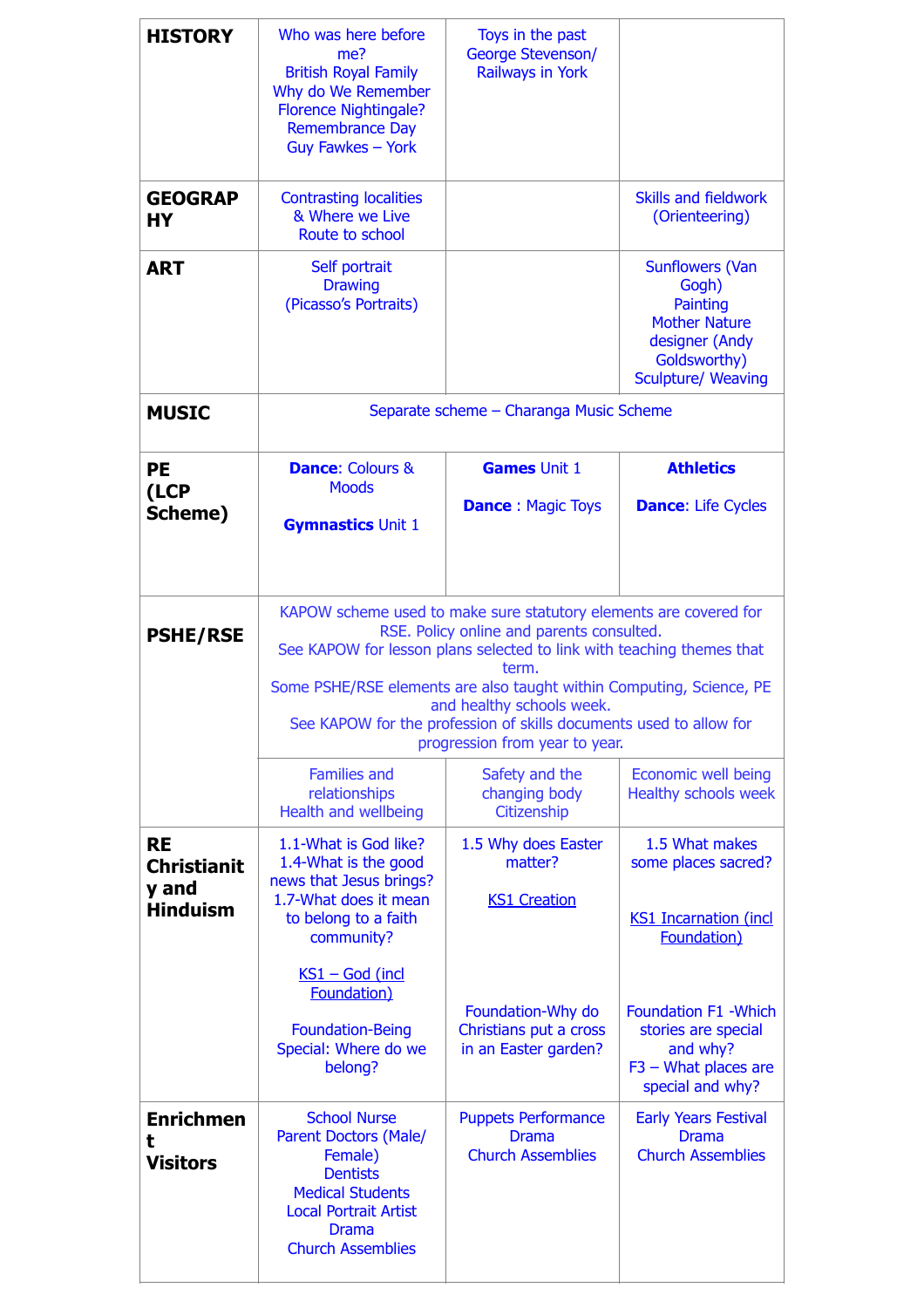| <b>HISTORY</b>                                              | Who was here before<br>me?<br><b>British Royal Family</b><br>Why do We Remember<br><b>Florence Nightingale?</b><br><b>Remembrance Day</b><br>Guy Fawkes - York                                                                                                                                                                                                                                                | Toys in the past<br><b>George Stevenson/</b><br><b>Railways in York</b> |                                                                                                                                    |  |
|-------------------------------------------------------------|---------------------------------------------------------------------------------------------------------------------------------------------------------------------------------------------------------------------------------------------------------------------------------------------------------------------------------------------------------------------------------------------------------------|-------------------------------------------------------------------------|------------------------------------------------------------------------------------------------------------------------------------|--|
| <b>GEOGRAP</b><br><b>HY</b>                                 | <b>Contrasting localities</b><br>& Where we Live<br>Route to school                                                                                                                                                                                                                                                                                                                                           |                                                                         | <b>Skills and fieldwork</b><br>(Orienteering)                                                                                      |  |
| <b>ART</b>                                                  | Self portrait<br><b>Drawing</b><br>(Picasso's Portraits)                                                                                                                                                                                                                                                                                                                                                      |                                                                         | <b>Sunflowers (Van</b><br>Gogh)<br>Painting<br><b>Mother Nature</b><br>designer (Andy<br>Goldsworthy)<br><b>Sculpture/ Weaving</b> |  |
| <b>MUSIC</b>                                                |                                                                                                                                                                                                                                                                                                                                                                                                               | Separate scheme - Charanga Music Scheme                                 |                                                                                                                                    |  |
| <b>PE</b><br>(LCP                                           | <b>Dance: Colours &amp;</b><br><b>Moods</b>                                                                                                                                                                                                                                                                                                                                                                   | <b>Games Unit 1</b>                                                     | <b>Athletics</b>                                                                                                                   |  |
| Scheme)                                                     | <b>Gymnastics Unit 1</b>                                                                                                                                                                                                                                                                                                                                                                                      | <b>Dance: Magic Toys</b>                                                | <b>Dance: Life Cycles</b>                                                                                                          |  |
| <b>PSHE/RSE</b>                                             | KAPOW scheme used to make sure statutory elements are covered for<br>RSE. Policy online and parents consulted.<br>See KAPOW for lesson plans selected to link with teaching themes that<br>term.<br>Some PSHE/RSE elements are also taught within Computing, Science, PE<br>and healthy schools week.<br>See KAPOW for the profession of skills documents used to allow for<br>progression from year to year. |                                                                         |                                                                                                                                    |  |
|                                                             | <b>Families and</b><br>relationships<br>Health and wellbeing                                                                                                                                                                                                                                                                                                                                                  | Safety and the<br>changing body<br>Citizenship                          | <b>Economic well being</b><br><b>Healthy schools week</b>                                                                          |  |
| <b>RE</b><br><b>Christianit</b><br>y and<br><b>Hinduism</b> | 1.1-What is God like?<br>1.4-What is the good<br>news that Jesus brings?<br>1.7-What does it mean<br>to belong to a faith<br>community?<br>$KS1 - God (incl)$                                                                                                                                                                                                                                                 | 1.5 Why does Easter<br>matter?<br><b>KS1 Creation</b>                   | 1.5 What makes<br>some places sacred?<br><b>KS1 Incarnation (incl</b><br>Foundation)                                               |  |
|                                                             | Foundation)<br><b>Foundation-Being</b><br>Special: Where do we<br>belong?                                                                                                                                                                                                                                                                                                                                     | Foundation-Why do<br>Christians put a cross<br>in an Easter garden?     | <b>Foundation F1 - Which</b><br>stories are special<br>and why?<br>$F3 - What places are$<br>special and why?                      |  |
| <b>Enrichmen</b><br>t<br><b>Visitors</b>                    | <b>School Nurse</b><br>Parent Doctors (Male/<br>Female)<br><b>Dentists</b><br><b>Medical Students</b><br><b>Local Portrait Artist</b><br><b>Drama</b><br><b>Church Assemblies</b>                                                                                                                                                                                                                             | <b>Puppets Performance</b><br><b>Drama</b><br><b>Church Assemblies</b>  | <b>Early Years Festival</b><br><b>Drama</b><br><b>Church Assemblies</b>                                                            |  |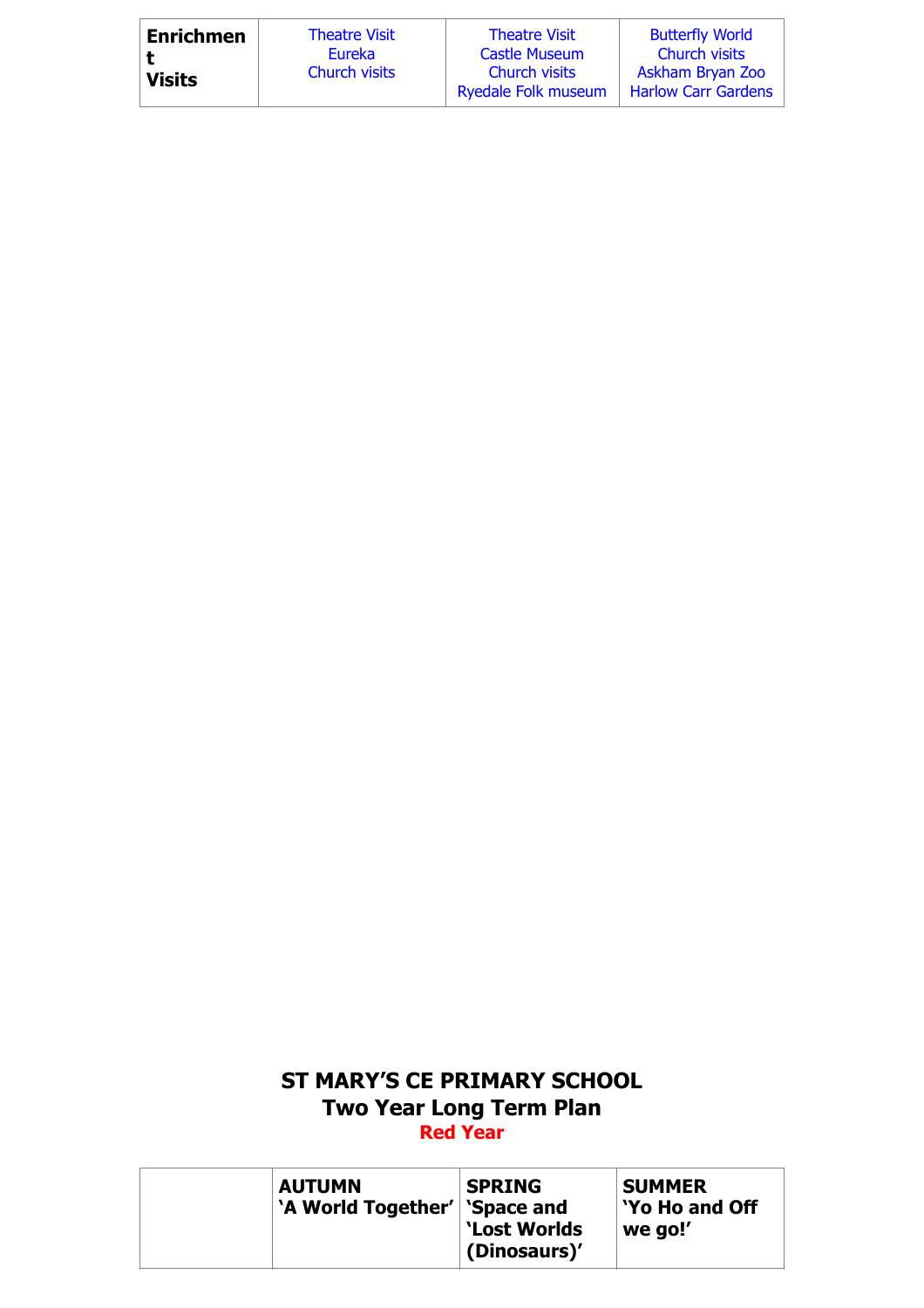| <b>Enrichmen</b> | <b>Theatre Visit</b> | <b>Theatre Visit</b>                        | <b>Butterfly World</b>                         |
|------------------|----------------------|---------------------------------------------|------------------------------------------------|
|                  | Eureka               | <b>Castle Museum</b>                        | <b>Church visits</b>                           |
| <b>Visits</b>    | <b>Church visits</b> | Church visits<br><b>Ryedale Folk museum</b> | Askham Bryan Zoo<br><b>Harlow Carr Gardens</b> |

## **ST MARY'S CE PRIMARY SCHOOL Two Year Long Term Plan Red Year**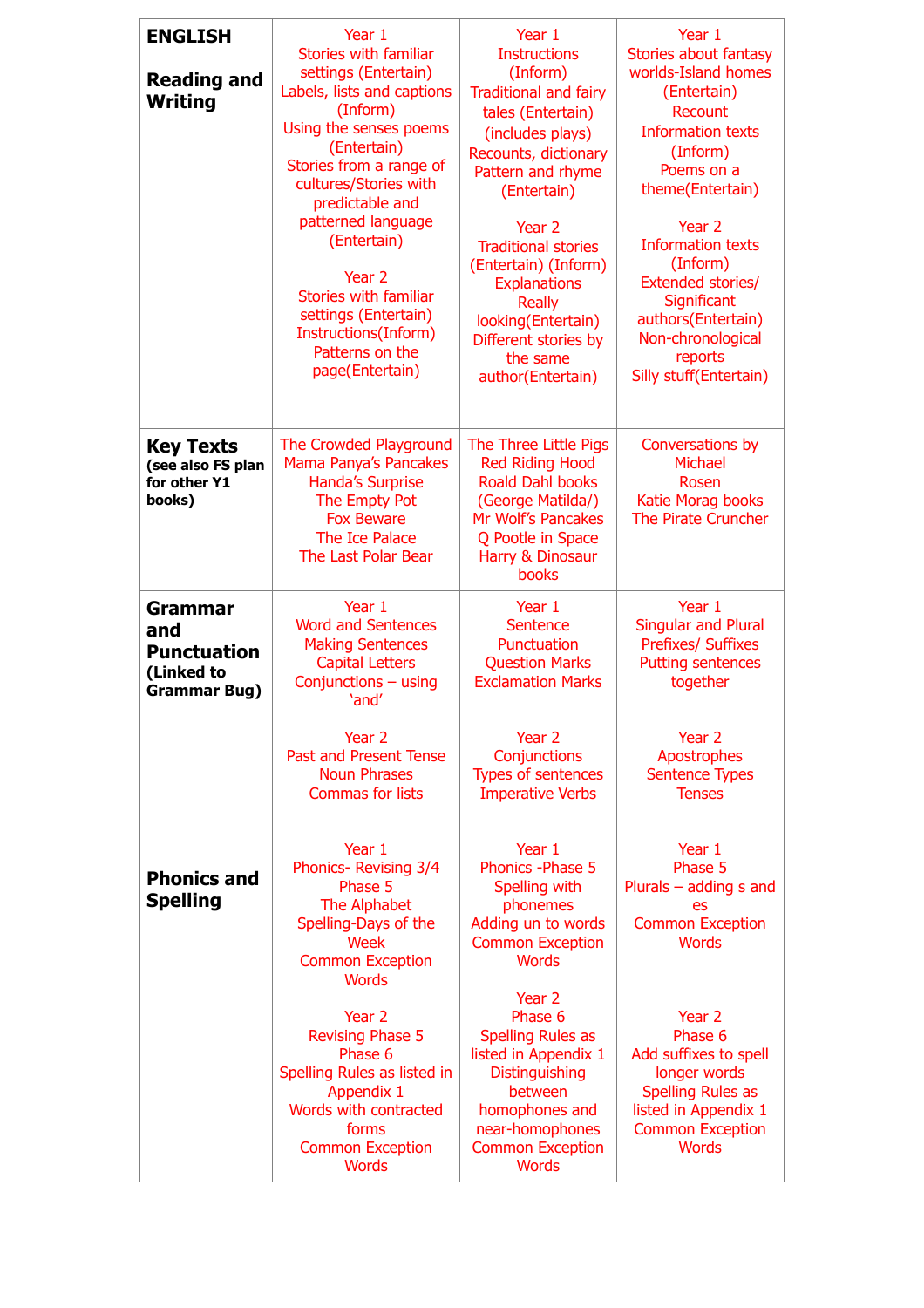| <b>ENGLISH</b><br><b>Reading and</b><br>Writing                                  | Year 1<br>Stories with familiar<br>settings (Entertain)<br>Labels, lists and captions<br>(Inform)<br>Using the senses poems<br>(Entertain)<br>Stories from a range of<br>cultures/Stories with<br>predictable and<br>patterned language<br>(Entertain)<br>Year 2<br>Stories with familiar<br>settings (Entertain)<br>Instructions(Inform)<br>Patterns on the<br>page(Entertain) | Year 1<br><b>Instructions</b><br>(Inform)<br><b>Traditional and fairy</b><br>tales (Entertain)<br>(includes plays)<br>Recounts, dictionary<br>Pattern and rhyme<br>(Entertain)<br>Year 2<br><b>Traditional stories</b><br>(Entertain) (Inform)<br><b>Explanations</b><br><b>Really</b><br>looking(Entertain)<br>Different stories by<br>the same<br>author(Entertain) | Year 1<br><b>Stories about fantasy</b><br>worlds-Island homes<br>(Entertain)<br>Recount<br><b>Information texts</b><br>(Inform)<br>Poems on a<br>theme(Entertain)<br>Year 2<br><b>Information texts</b><br>(Inform)<br>Extended stories/<br>Significant<br>authors(Entertain)<br>Non-chronological<br>reports<br>Silly stuff(Entertain) |
|----------------------------------------------------------------------------------|---------------------------------------------------------------------------------------------------------------------------------------------------------------------------------------------------------------------------------------------------------------------------------------------------------------------------------------------------------------------------------|-----------------------------------------------------------------------------------------------------------------------------------------------------------------------------------------------------------------------------------------------------------------------------------------------------------------------------------------------------------------------|-----------------------------------------------------------------------------------------------------------------------------------------------------------------------------------------------------------------------------------------------------------------------------------------------------------------------------------------|
| <b>Key Texts</b><br>(see also FS plan<br>for other Y1<br>books)                  | The Crowded Playground<br>Mama Panya's Pancakes<br><b>Handa's Surprise</b><br>The Empty Pot<br><b>Fox Beware</b><br>The Ice Palace<br>The Last Polar Bear                                                                                                                                                                                                                       | The Three Little Pigs<br><b>Red Riding Hood</b><br><b>Roald Dahl books</b><br>(George Matilda/)<br>Mr Wolf's Pancakes<br>Q Pootle in Space<br>Harry & Dinosaur<br>books                                                                                                                                                                                               | Conversations by<br>Michael<br>Rosen<br>Katie Morag books<br>The Pirate Cruncher                                                                                                                                                                                                                                                        |
| <b>Grammar</b><br>and<br><b>Punctuation</b><br>(Linked to<br><b>Grammar Bug)</b> | Year 1<br><b>Word and Sentences</b><br><b>Making Sentences</b><br><b>Capital Letters</b><br>Conjunctions - using<br>'and'                                                                                                                                                                                                                                                       | Year 1<br><b>Sentence</b><br>Punctuation<br><b>Question Marks</b><br><b>Exclamation Marks</b>                                                                                                                                                                                                                                                                         | Year 1<br><b>Singular and Plural</b><br><b>Prefixes/ Suffixes</b><br><b>Putting sentences</b><br>together                                                                                                                                                                                                                               |
|                                                                                  | Year 2<br><b>Past and Present Tense</b><br><b>Noun Phrases</b><br><b>Commas for lists</b>                                                                                                                                                                                                                                                                                       | Year 2<br>Conjunctions<br><b>Types of sentences</b><br><b>Imperative Verbs</b>                                                                                                                                                                                                                                                                                        | Year 2<br>Apostrophes<br><b>Sentence Types</b><br><b>Tenses</b>                                                                                                                                                                                                                                                                         |
| <b>Phonics and</b><br><b>Spelling</b>                                            | Year 1<br>Phonics-Revising 3/4<br>Phase 5<br>The Alphabet<br>Spelling-Days of the<br>Week<br><b>Common Exception</b><br><b>Words</b>                                                                                                                                                                                                                                            | Year 1<br><b>Phonics - Phase 5</b><br>Spelling with<br>phonemes<br>Adding un to words<br><b>Common Exception</b><br><b>Words</b><br>Year 2                                                                                                                                                                                                                            | Year 1<br>Phase 5<br>Plurals $-$ adding s and<br>es<br><b>Common Exception</b><br><b>Words</b>                                                                                                                                                                                                                                          |
|                                                                                  | Year 2<br><b>Revising Phase 5</b><br>Phase 6<br>Spelling Rules as listed in<br>Appendix 1<br>Words with contracted<br>forms<br><b>Common Exception</b><br><b>Words</b>                                                                                                                                                                                                          | Phase 6<br><b>Spelling Rules as</b><br>listed in Appendix 1<br><b>Distinguishing</b><br>between<br>homophones and<br>near-homophones<br><b>Common Exception</b><br><b>Words</b>                                                                                                                                                                                       | Year 2<br>Phase 6<br>Add suffixes to spell<br>longer words<br><b>Spelling Rules as</b><br>listed in Appendix 1<br><b>Common Exception</b><br><b>Words</b>                                                                                                                                                                               |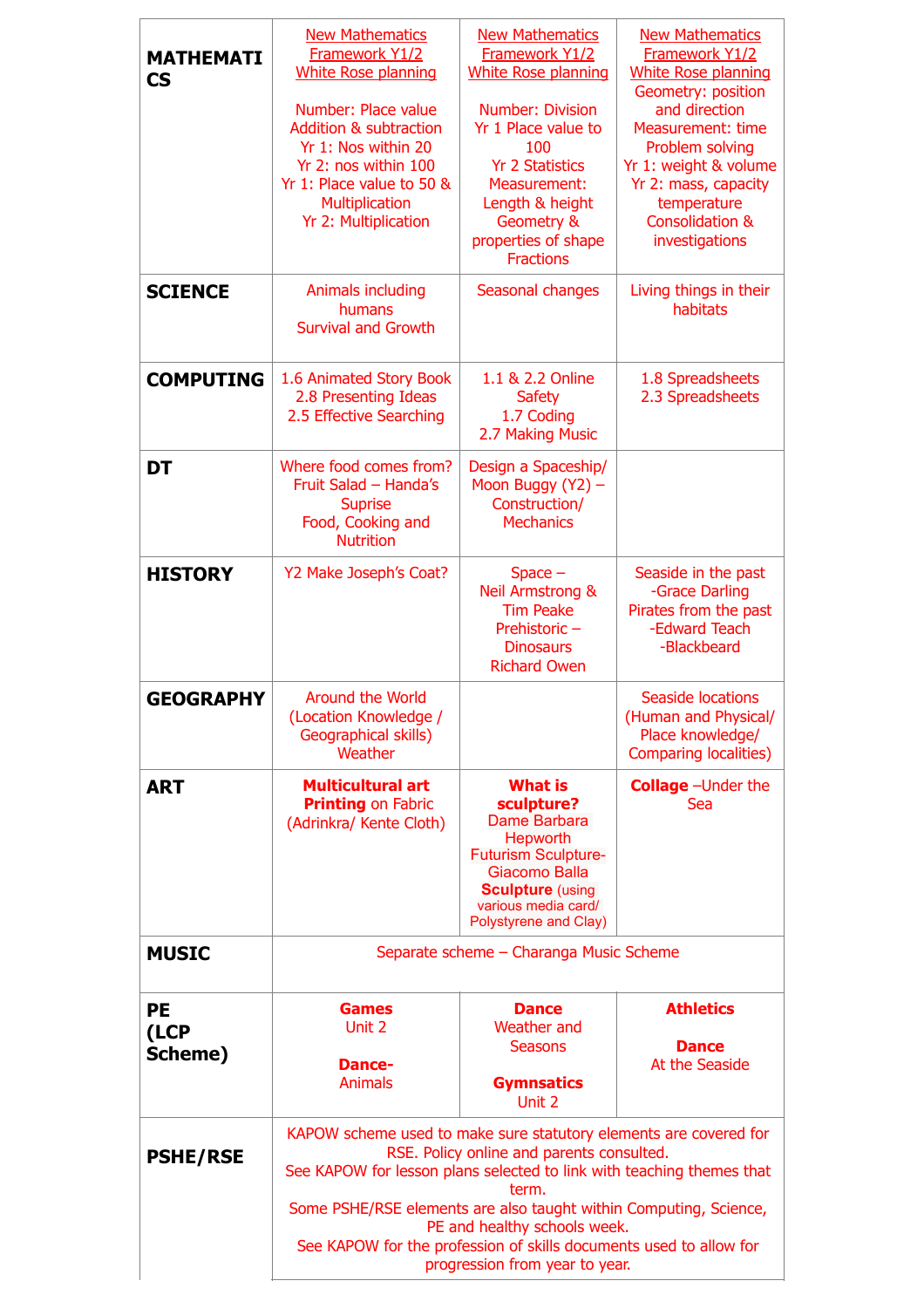| <b>MATHEMATI</b><br><b>CS</b> | <b>New Mathematics</b><br>Framework Y1/2<br><b>White Rose planning</b><br>Number: Place value<br><b>Addition &amp; subtraction</b><br>Yr 1: Nos within 20<br>Yr 2: nos within 100<br>Yr 1: Place value to 50 &<br><b>Multiplication</b><br>Yr 2: Multiplication                                                                                                                                               | <b>New Mathematics</b><br>Framework Y1/2<br><b>White Rose planning</b><br>Number: Division<br>Yr 1 Place value to<br>100<br><b>Yr 2 Statistics</b><br><b>Measurement:</b><br>Length & height<br>Geometry &<br>properties of shape<br><b>Fractions</b> | <b>New Mathematics</b><br>Framework Y1/2<br><b>White Rose planning</b><br>Geometry: position<br>and direction<br><b>Measurement: time</b><br>Problem solving<br>Yr 1: weight & volume<br>Yr 2: mass, capacity<br>temperature<br><b>Consolidation &amp;</b><br>investigations |
|-------------------------------|---------------------------------------------------------------------------------------------------------------------------------------------------------------------------------------------------------------------------------------------------------------------------------------------------------------------------------------------------------------------------------------------------------------|-------------------------------------------------------------------------------------------------------------------------------------------------------------------------------------------------------------------------------------------------------|------------------------------------------------------------------------------------------------------------------------------------------------------------------------------------------------------------------------------------------------------------------------------|
| <b>SCIENCE</b>                | Animals including<br>humans<br><b>Survival and Growth</b>                                                                                                                                                                                                                                                                                                                                                     | Seasonal changes                                                                                                                                                                                                                                      | Living things in their<br>habitats                                                                                                                                                                                                                                           |
| <b>COMPUTING</b>              | 1.6 Animated Story Book<br>2.8 Presenting Ideas<br>2.5 Effective Searching                                                                                                                                                                                                                                                                                                                                    | 1.1 & 2.2 Online<br><b>Safety</b><br>1.7 Coding<br>2.7 Making Music                                                                                                                                                                                   | 1.8 Spreadsheets<br>2.3 Spreadsheets                                                                                                                                                                                                                                         |
| DT                            | Where food comes from?<br>Fruit Salad - Handa's<br><b>Suprise</b><br>Food, Cooking and<br><b>Nutrition</b>                                                                                                                                                                                                                                                                                                    | Design a Spaceship/<br>Moon Buggy (Y2) -<br>Construction/<br><b>Mechanics</b>                                                                                                                                                                         |                                                                                                                                                                                                                                                                              |
| <b>HISTORY</b>                | Y2 Make Joseph's Coat?                                                                                                                                                                                                                                                                                                                                                                                        | $Space -$<br><b>Neil Armstrong &amp;</b><br><b>Tim Peake</b><br>Prehistoric-<br><b>Dinosaurs</b><br><b>Richard Owen</b>                                                                                                                               | Seaside in the past<br>-Grace Darling<br>Pirates from the past<br>-Edward Teach<br>-Blackbeard                                                                                                                                                                               |
| <b>GEOGRAPHY</b>              | <b>Around the World</b><br>(Location Knowledge /<br>Geographical skills)<br>Weather                                                                                                                                                                                                                                                                                                                           |                                                                                                                                                                                                                                                       | <b>Seaside locations</b><br>(Human and Physical/<br>Place knowledge/<br><b>Comparing localities)</b>                                                                                                                                                                         |
| <b>ART</b>                    | <b>Multicultural art</b><br><b>Printing on Fabric</b><br>(Adrinkra/ Kente Cloth)                                                                                                                                                                                                                                                                                                                              | <b>What is</b><br>sculpture?<br>Dame Barbara<br><b>Hepworth</b><br><b>Futurism Sculpture-</b><br>Giacomo Balla<br><b>Sculpture (using</b><br>various media card/<br>Polystyrene and Clay)                                                             | <b>Collage</b> - Under the<br>Sea                                                                                                                                                                                                                                            |
| <b>MUSIC</b>                  | Separate scheme - Charanga Music Scheme                                                                                                                                                                                                                                                                                                                                                                       |                                                                                                                                                                                                                                                       |                                                                                                                                                                                                                                                                              |
| <b>PE</b><br>(LCP<br>Scheme)  | <b>Games</b><br>Unit 2<br><b>Dance-</b><br><b>Animals</b>                                                                                                                                                                                                                                                                                                                                                     | <b>Dance</b><br><b>Weather</b> and<br><b>Seasons</b><br><b>Gymnsatics</b><br>Unit 2                                                                                                                                                                   | <b>Athletics</b><br><b>Dance</b><br>At the Seaside                                                                                                                                                                                                                           |
| <b>PSHE/RSE</b>               | KAPOW scheme used to make sure statutory elements are covered for<br>RSE. Policy online and parents consulted.<br>See KAPOW for lesson plans selected to link with teaching themes that<br>term.<br>Some PSHE/RSE elements are also taught within Computing, Science,<br>PE and healthy schools week.<br>See KAPOW for the profession of skills documents used to allow for<br>progression from year to year. |                                                                                                                                                                                                                                                       |                                                                                                                                                                                                                                                                              |